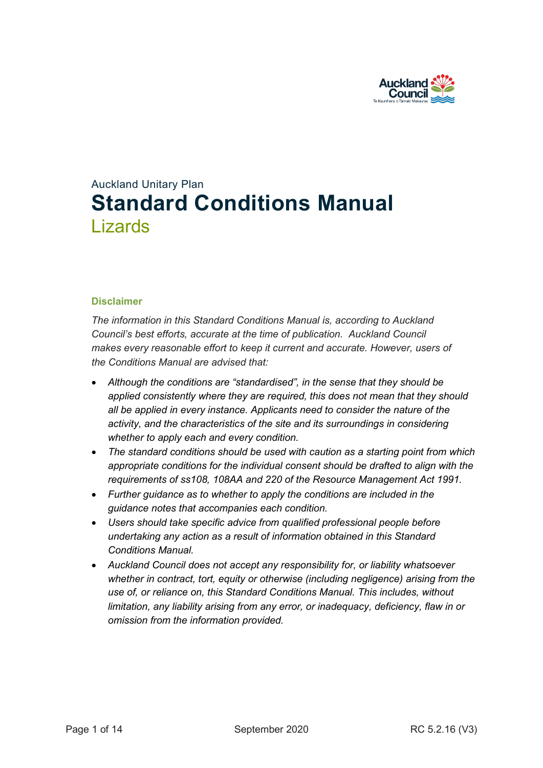

# Auckland Unitary Plan **Standard Conditions Manual** Lizards

#### **Disclaimer**

*The information in this Standard Conditions Manual is, according to Auckland Council's best efforts, accurate at the time of publication. Auckland Council makes every reasonable effort to keep it current and accurate. However, users of the Conditions Manual are advised that:* 

- *Although the conditions are "standardised", in the sense that they should be applied consistently where they are required, this does not mean that they should all be applied in every instance. Applicants need to consider the nature of the activity, and the characteristics of the site and its surroundings in considering whether to apply each and every condition.*
- *The standard conditions should be used with caution as a starting point from which appropriate conditions for the individual consent should be drafted to align with the requirements of ss108, 108AA and 220 of the Resource Management Act 1991.*
- *Further guidance as to whether to apply the conditions are included in the guidance notes that accompanies each condition.*
- *Users should take specific advice from qualified professional people before undertaking any action as a result of information obtained in this Standard Conditions Manual.*
- *Auckland Council does not accept any responsibility for, or liability whatsoever whether in contract, tort, equity or otherwise (including negligence) arising from the use of, or reliance on, this Standard Conditions Manual. This includes, without limitation, any liability arising from any error, or inadequacy, deficiency, flaw in or omission from the information provided.*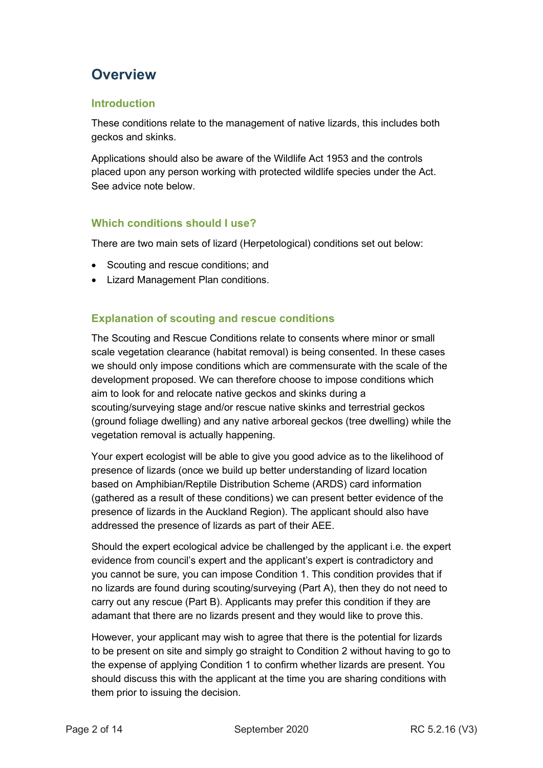# **Overview**

## **Introduction**

These conditions relate to the management of native lizards, this includes both geckos and skinks.

Applications should also be aware of the Wildlife Act 1953 and the controls placed upon any person working with protected wildlife species under the Act. See advice note below.

## **Which conditions should I use?**

There are two main sets of lizard (Herpetological) conditions set out below:

- Scouting and rescue conditions; and
- Lizard Management Plan conditions.

## **Explanation of scouting and rescue conditions**

The Scouting and Rescue Conditions relate to consents where minor or small scale vegetation clearance (habitat removal) is being consented. In these cases we should only impose conditions which are commensurate with the scale of the development proposed. We can therefore choose to impose conditions which aim to look for and relocate native geckos and skinks during a scouting/surveying stage and/or rescue native skinks and terrestrial geckos (ground foliage dwelling) and any native arboreal geckos (tree dwelling) while the vegetation removal is actually happening.

Your expert ecologist will be able to give you good advice as to the likelihood of presence of lizards (once we build up better understanding of lizard location based on Amphibian/Reptile Distribution Scheme (ARDS) card information (gathered as a result of these conditions) we can present better evidence of the presence of lizards in the Auckland Region). The applicant should also have addressed the presence of lizards as part of their AEE.

Should the expert ecological advice be challenged by the applicant i.e. the expert evidence from council's expert and the applicant's expert is contradictory and you cannot be sure, you can impose Condition 1. This condition provides that if no lizards are found during scouting/surveying (Part A), then they do not need to carry out any rescue (Part B). Applicants may prefer this condition if they are adamant that there are no lizards present and they would like to prove this.

However, your applicant may wish to agree that there is the potential for lizards to be present on site and simply go straight to Condition 2 without having to go to the expense of applying Condition 1 to confirm whether lizards are present. You should discuss this with the applicant at the time you are sharing conditions with them prior to issuing the decision.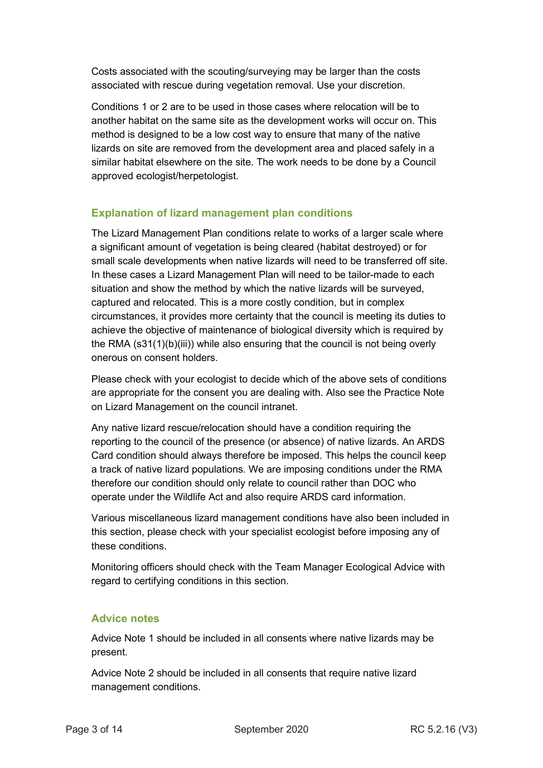Costs associated with the scouting/surveying may be larger than the costs associated with rescue during vegetation removal. Use your discretion.

Conditions 1 or 2 are to be used in those cases where relocation will be to another habitat on the same site as the development works will occur on. This method is designed to be a low cost way to ensure that many of the native lizards on site are removed from the development area and placed safely in a similar habitat elsewhere on the site. The work needs to be done by a Council approved ecologist/herpetologist.

## **Explanation of lizard management plan conditions**

The Lizard Management Plan conditions relate to works of a larger scale where a significant amount of vegetation is being cleared (habitat destroyed) or for small scale developments when native lizards will need to be transferred off site. In these cases a Lizard Management Plan will need to be tailor-made to each situation and show the method by which the native lizards will be surveyed, captured and relocated. This is a more costly condition, but in complex circumstances, it provides more certainty that the council is meeting its duties to achieve the objective of maintenance of biological diversity which is required by the RMA (s31(1)(b)(iii)) while also ensuring that the council is not being overly onerous on consent holders.

Please check with your ecologist to decide which of the above sets of conditions are appropriate for the consent you are dealing with. Also see the Practice Note on Lizard Management on the council intranet.

Any native lizard rescue/relocation should have a condition requiring the reporting to the council of the presence (or absence) of native lizards. An ARDS Card condition should always therefore be imposed. This helps the council keep a track of native lizard populations. We are imposing conditions under the RMA therefore our condition should only relate to council rather than DOC who operate under the Wildlife Act and also require ARDS card information.

Various miscellaneous lizard management conditions have also been included in this section, please check with your specialist ecologist before imposing any of these conditions.

Monitoring officers should check with the Team Manager Ecological Advice with regard to certifying conditions in this section.

### **Advice notes**

Advice Note 1 should be included in all consents where native lizards may be present.

Advice Note 2 should be included in all consents that require native lizard management conditions.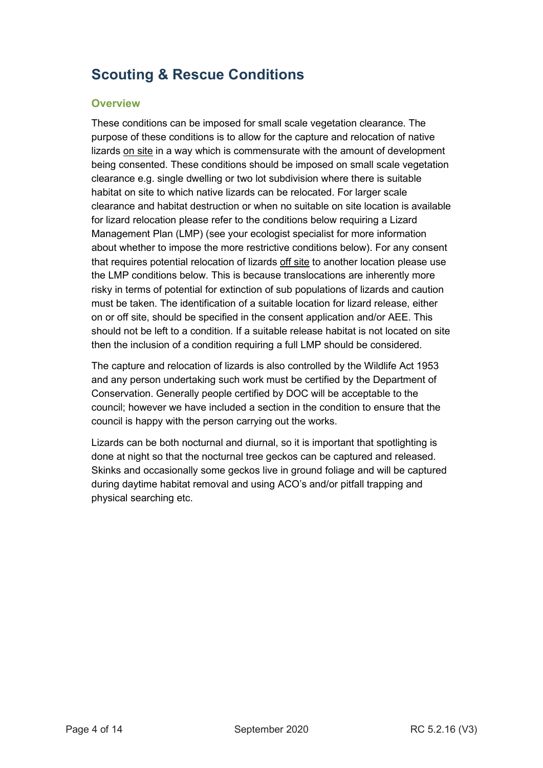# **Scouting & Rescue Conditions**

### **Overview**

These conditions can be imposed for small scale vegetation clearance. The purpose of these conditions is to allow for the capture and relocation of native lizards on site in a way which is commensurate with the amount of development being consented. These conditions should be imposed on small scale vegetation clearance e.g. single dwelling or two lot subdivision where there is suitable habitat on site to which native lizards can be relocated. For larger scale clearance and habitat destruction or when no suitable on site location is available for lizard relocation please refer to the conditions below requiring a Lizard Management Plan (LMP) (see your ecologist specialist for more information about whether to impose the more restrictive conditions below). For any consent that requires potential relocation of lizards off site to another location please use the LMP conditions below. This is because translocations are inherently more risky in terms of potential for extinction of sub populations of lizards and caution must be taken. The identification of a suitable location for lizard release, either on or off site, should be specified in the consent application and/or AEE. This should not be left to a condition. If a suitable release habitat is not located on site then the inclusion of a condition requiring a full LMP should be considered.

The capture and relocation of lizards is also controlled by the Wildlife Act 1953 and any person undertaking such work must be certified by the Department of Conservation. Generally people certified by DOC will be acceptable to the council; however we have included a section in the condition to ensure that the council is happy with the person carrying out the works.

Lizards can be both nocturnal and diurnal, so it is important that spotlighting is done at night so that the nocturnal tree geckos can be captured and released. Skinks and occasionally some geckos live in ground foliage and will be captured during daytime habitat removal and using ACO's and/or pitfall trapping and physical searching etc.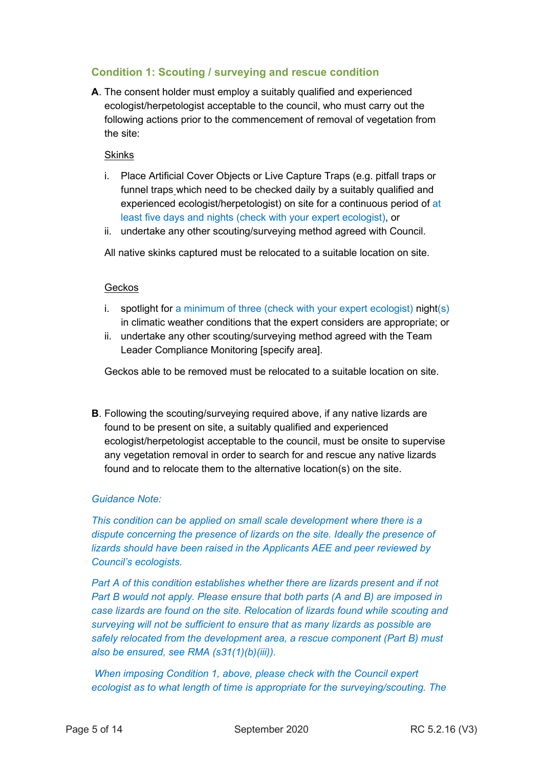## **Condition 1: Scouting / surveying and rescue condition**

**A**. The consent holder must employ a suitably qualified and experienced ecologist/herpetologist acceptable to the council, who must carry out the following actions prior to the commencement of removal of vegetation from the site:

#### Skinks

- i. Place Artificial Cover Objects or Live Capture Traps (e.g. pitfall traps or funnel traps which need to be checked daily by a suitably qualified and experienced ecologist/herpetologist) on site for a continuous period of at least five days and nights (check with your expert ecologist), or
- ii. undertake any other scouting/surveying method agreed with Council.

All native skinks captured must be relocated to a suitable location on site.

#### Geckos

- i. spotlight for a minimum of three (check with your expert ecologist) night(s) in climatic weather conditions that the expert considers are appropriate; or
- ii. undertake any other scouting/surveying method agreed with the Team Leader Compliance Monitoring [specify area].

Geckos able to be removed must be relocated to a suitable location on site.

**B**. Following the scouting/surveying required above, if any native lizards are found to be present on site, a suitably qualified and experienced ecologist/herpetologist acceptable to the council, must be onsite to supervise any vegetation removal in order to search for and rescue any native lizards found and to relocate them to the alternative location(s) on the site.

#### *Guidance Note:*

*This condition can be applied on small scale development where there is a dispute concerning the presence of lizards on the site. Ideally the presence of lizards should have been raised in the Applicants AEE and peer reviewed by Council's ecologists.* 

*Part A of this condition establishes whether there are lizards present and if not Part B would not apply. Please ensure that both parts (A and B) are imposed in case lizards are found on the site. Relocation of lizards found while scouting and surveying will not be sufficient to ensure that as many lizards as possible are safely relocated from the development area, a rescue component (Part B) must also be ensured, see RMA (s31(1)(b)(iii)).* 

*When imposing Condition 1, above, please check with the Council expert ecologist as to what length of time is appropriate for the surveying/scouting. The*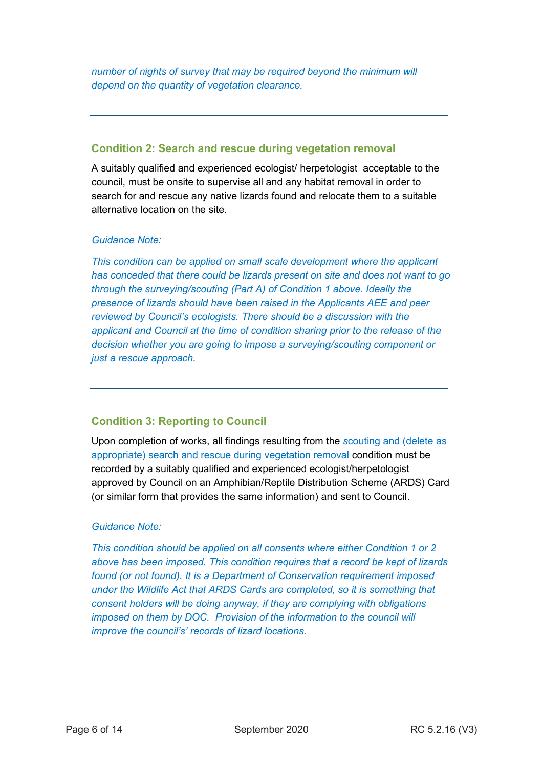*number of nights of survey that may be required beyond the minimum will depend on the quantity of vegetation clearance.* 

### **Condition 2: Search and rescue during vegetation removal**

A suitably qualified and experienced ecologist/ herpetologist acceptable to the council, must be onsite to supervise all and any habitat removal in order to search for and rescue any native lizards found and relocate them to a suitable alternative location on the site.

#### *Guidance Note:*

*This condition can be applied on small scale development where the applicant has conceded that there could be lizards present on site and does not want to go through the surveying/scouting (Part A) of Condition 1 above. Ideally the presence of lizards should have been raised in the Applicants AEE and peer reviewed by Council's ecologists. There should be a discussion with the applicant and Council at the time of condition sharing prior to the release of the decision whether you are going to impose a surveying/scouting component or just a rescue approach.* 

### **Condition 3: Reporting to Council**

Upon completion of works, all findings resulting from the *s*couting and (delete as appropriate) search and rescue during vegetation removal condition must be recorded by a suitably qualified and experienced ecologist/herpetologist approved by Council on an Amphibian/Reptile Distribution Scheme (ARDS) Card (or similar form that provides the same information) and sent to Council.

### *Guidance Note:*

*This condition should be applied on all consents where either Condition 1 or 2 above has been imposed. This condition requires that a record be kept of lizards found (or not found). It is a Department of Conservation requirement imposed under the Wildlife Act that ARDS Cards are completed, so it is something that consent holders will be doing anyway, if they are complying with obligations imposed on them by DOC. Provision of the information to the council will improve the council's' records of lizard locations.*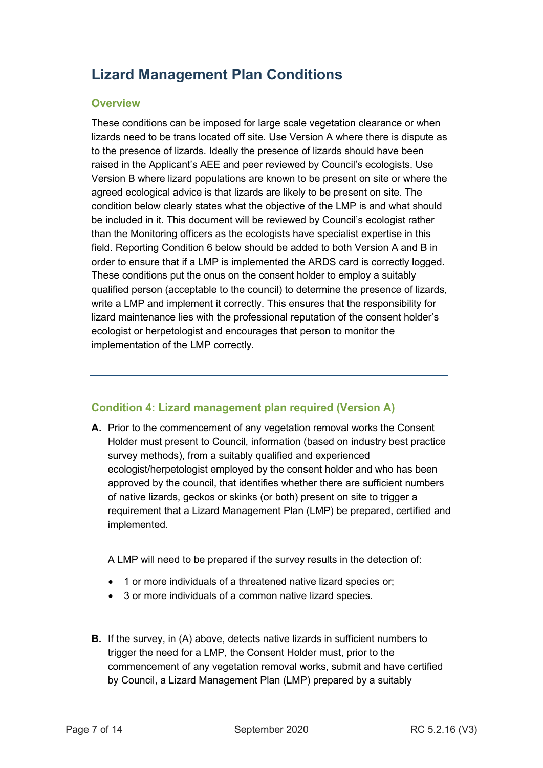# **Lizard Management Plan Conditions**

#### **Overview**

These conditions can be imposed for large scale vegetation clearance or when lizards need to be trans located off site. Use Version A where there is dispute as to the presence of lizards. Ideally the presence of lizards should have been raised in the Applicant's AEE and peer reviewed by Council's ecologists. Use Version B where lizard populations are known to be present on site or where the agreed ecological advice is that lizards are likely to be present on site. The condition below clearly states what the objective of the LMP is and what should be included in it. This document will be reviewed by Council's ecologist rather than the Monitoring officers as the ecologists have specialist expertise in this field. Reporting Condition 6 below should be added to both Version A and B in order to ensure that if a LMP is implemented the ARDS card is correctly logged. These conditions put the onus on the consent holder to employ a suitably qualified person (acceptable to the council) to determine the presence of lizards, write a LMP and implement it correctly. This ensures that the responsibility for lizard maintenance lies with the professional reputation of the consent holder's ecologist or herpetologist and encourages that person to monitor the implementation of the LMP correctly.

### **Condition 4: Lizard management plan required (Version A)**

**A.** Prior to the commencement of any vegetation removal works the Consent Holder must present to Council, information (based on industry best practice survey methods), from a suitably qualified and experienced ecologist/herpetologist employed by the consent holder and who has been approved by the council, that identifies whether there are sufficient numbers of native lizards, geckos or skinks (or both) present on site to trigger a requirement that a Lizard Management Plan (LMP) be prepared, certified and implemented.

A LMP will need to be prepared if the survey results in the detection of:

- 1 or more individuals of a threatened native lizard species or;
- 3 or more individuals of a common native lizard species.
- **B.** If the survey, in (A) above, detects native lizards in sufficient numbers to trigger the need for a LMP, the Consent Holder must, prior to the commencement of any vegetation removal works, submit and have certified by Council, a Lizard Management Plan (LMP) prepared by a suitably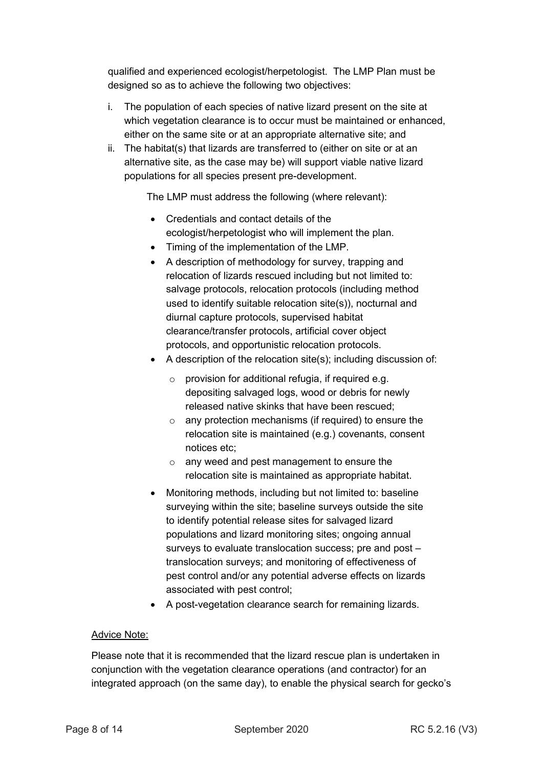qualified and experienced ecologist/herpetologist. The LMP Plan must be designed so as to achieve the following two objectives:

- i. The population of each species of native lizard present on the site at which vegetation clearance is to occur must be maintained or enhanced, either on the same site or at an appropriate alternative site; and
- ii. The habitat(s) that lizards are transferred to (either on site or at an alternative site, as the case may be) will support viable native lizard populations for all species present pre-development.

The LMP must address the following (where relevant):

- Credentials and contact details of the ecologist/herpetologist who will implement the plan.
- Timing of the implementation of the LMP.
- A description of methodology for survey, trapping and relocation of lizards rescued including but not limited to: salvage protocols, relocation protocols (including method used to identify suitable relocation site(s)), nocturnal and diurnal capture protocols, supervised habitat clearance/transfer protocols, artificial cover object protocols, and opportunistic relocation protocols.
- A description of the relocation site(s); including discussion of:
	- $\circ$  provision for additional refugia, if required e.g. depositing salvaged logs, wood or debris for newly released native skinks that have been rescued;
	- o any protection mechanisms (if required) to ensure the relocation site is maintained (e.g.) covenants, consent notices etc;
	- o any weed and pest management to ensure the relocation site is maintained as appropriate habitat.
- Monitoring methods, including but not limited to: baseline surveying within the site; baseline surveys outside the site to identify potential release sites for salvaged lizard populations and lizard monitoring sites; ongoing annual surveys to evaluate translocation success; pre and post – translocation surveys; and monitoring of effectiveness of pest control and/or any potential adverse effects on lizards associated with pest control;
- A post-vegetation clearance search for remaining lizards.

### Advice Note:

Please note that it is recommended that the lizard rescue plan is undertaken in conjunction with the vegetation clearance operations (and contractor) for an integrated approach (on the same day), to enable the physical search for gecko's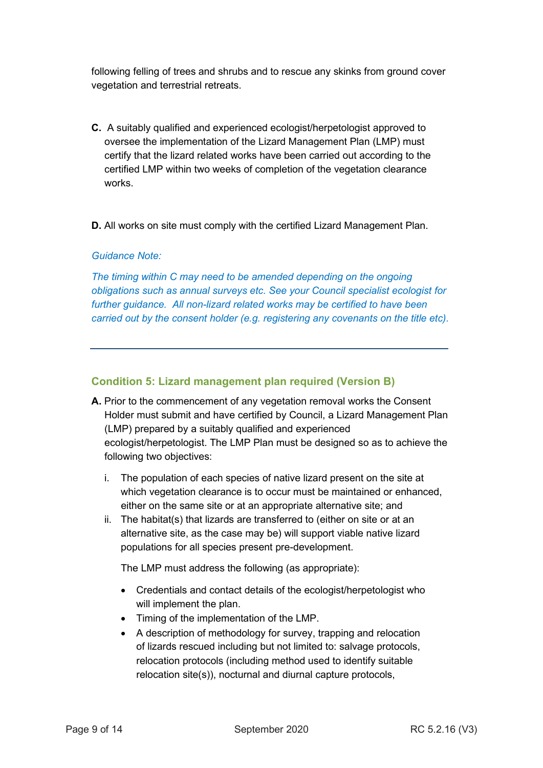following felling of trees and shrubs and to rescue any skinks from ground cover vegetation and terrestrial retreats.

- **C.** A suitably qualified and experienced ecologist/herpetologist approved to oversee the implementation of the Lizard Management Plan (LMP) must certify that the lizard related works have been carried out according to the certified LMP within two weeks of completion of the vegetation clearance works.
- **D.** All works on site must comply with the certified Lizard Management Plan.

#### *Guidance Note:*

*The timing within C may need to be amended depending on the ongoing obligations such as annual surveys etc. See your Council specialist ecologist for further guidance. All non-lizard related works may be certified to have been carried out by the consent holder (e.g. registering any covenants on the title etc).*

#### **Condition 5: Lizard management plan required (Version B)**

- **A.** Prior to the commencement of any vegetation removal works the Consent Holder must submit and have certified by Council, a Lizard Management Plan (LMP) prepared by a suitably qualified and experienced ecologist/herpetologist. The LMP Plan must be designed so as to achieve the following two objectives:
	- i. The population of each species of native lizard present on the site at which vegetation clearance is to occur must be maintained or enhanced, either on the same site or at an appropriate alternative site; and
	- ii. The habitat(s) that lizards are transferred to (either on site or at an alternative site, as the case may be) will support viable native lizard populations for all species present pre-development.

The LMP must address the following (as appropriate):

- Credentials and contact details of the ecologist/herpetologist who will implement the plan.
- Timing of the implementation of the LMP.
- A description of methodology for survey, trapping and relocation of lizards rescued including but not limited to: salvage protocols, relocation protocols (including method used to identify suitable relocation site(s)), nocturnal and diurnal capture protocols,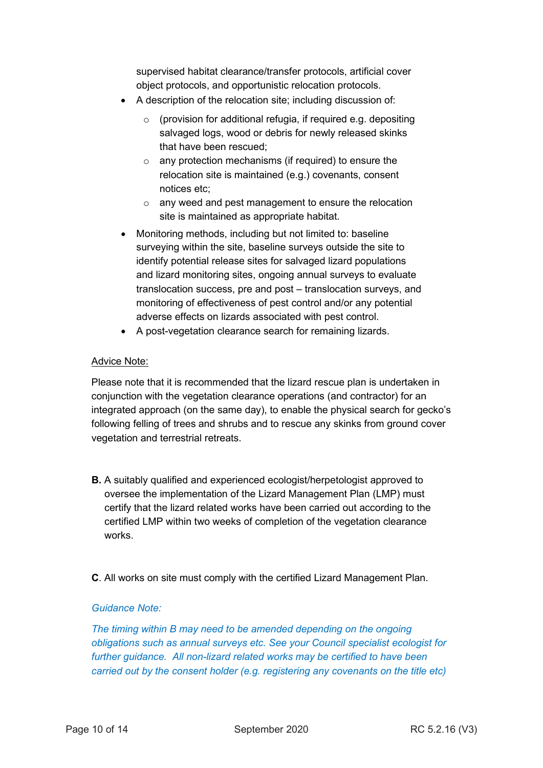supervised habitat clearance/transfer protocols, artificial cover object protocols, and opportunistic relocation protocols.

- A description of the relocation site; including discussion of:
	- $\circ$  (provision for additional refugia, if required e.g. depositing salvaged logs, wood or debris for newly released skinks that have been rescued;
	- $\circ$  any protection mechanisms (if required) to ensure the relocation site is maintained (e.g.) covenants, consent notices etc;
	- o any weed and pest management to ensure the relocation site is maintained as appropriate habitat.
- Monitoring methods, including but not limited to: baseline surveying within the site, baseline surveys outside the site to identify potential release sites for salvaged lizard populations and lizard monitoring sites, ongoing annual surveys to evaluate translocation success, pre and post – translocation surveys, and monitoring of effectiveness of pest control and/or any potential adverse effects on lizards associated with pest control.
- A post-vegetation clearance search for remaining lizards.

#### Advice Note:

Please note that it is recommended that the lizard rescue plan is undertaken in conjunction with the vegetation clearance operations (and contractor) for an integrated approach (on the same day), to enable the physical search for gecko's following felling of trees and shrubs and to rescue any skinks from ground cover vegetation and terrestrial retreats.

- **B.** A suitably qualified and experienced ecologist/herpetologist approved to oversee the implementation of the Lizard Management Plan (LMP) must certify that the lizard related works have been carried out according to the certified LMP within two weeks of completion of the vegetation clearance works.
- **C**. All works on site must comply with the certified Lizard Management Plan.

#### *Guidance Note:*

*The timing within B may need to be amended depending on the ongoing obligations such as annual surveys etc. See your Council specialist ecologist for further guidance. All non-lizard related works may be certified to have been carried out by the consent holder (e.g. registering any covenants on the title etc)*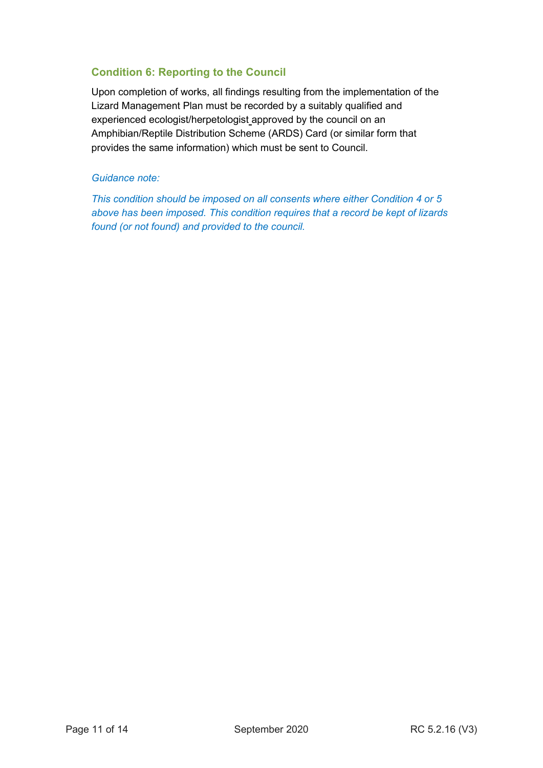## **Condition 6: Reporting to the Council**

Upon completion of works, all findings resulting from the implementation of the Lizard Management Plan must be recorded by a suitably qualified and experienced ecologist/herpetologist approved by the council on an Amphibian/Reptile Distribution Scheme (ARDS) Card (or similar form that provides the same information) which must be sent to Council.

#### *Guidance note:*

*This condition should be imposed on all consents where either Condition 4 or 5 above has been imposed. This condition requires that a record be kept of lizards found (or not found) and provided to the council.*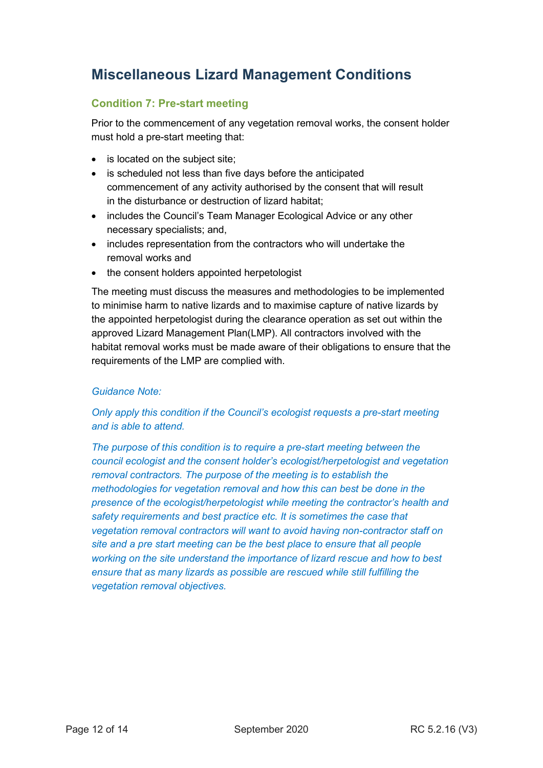# **Miscellaneous Lizard Management Conditions**

## **Condition 7: Pre-start meeting**

Prior to the commencement of any vegetation removal works, the consent holder must hold a pre-start meeting that:

- is located on the subject site;
- is scheduled not less than five days before the anticipated commencement of any activity authorised by the consent that will result in the disturbance or destruction of lizard habitat;
- includes the Council's Team Manager Ecological Advice or any other necessary specialists; and,
- includes representation from the contractors who will undertake the removal works and
- the consent holders appointed herpetologist

The meeting must discuss the measures and methodologies to be implemented to minimise harm to native lizards and to maximise capture of native lizards by the appointed herpetologist during the clearance operation as set out within the approved Lizard Management Plan(LMP). All contractors involved with the habitat removal works must be made aware of their obligations to ensure that the requirements of the LMP are complied with.

### *Guidance Note:*

### *Only apply this condition if the Council's ecologist requests a pre-start meeting and is able to attend.*

*The purpose of this condition is to require a pre-start meeting between the council ecologist and the consent holder's ecologist/herpetologist and vegetation removal contractors. The purpose of the meeting is to establish the methodologies for vegetation removal and how this can best be done in the presence of the ecologist/herpetologist while meeting the contractor's health and safety requirements and best practice etc. It is sometimes the case that vegetation removal contractors will want to avoid having non-contractor staff on site and a pre start meeting can be the best place to ensure that all people working on the site understand the importance of lizard rescue and how to best ensure that as many lizards as possible are rescued while still fulfilling the vegetation removal objectives.*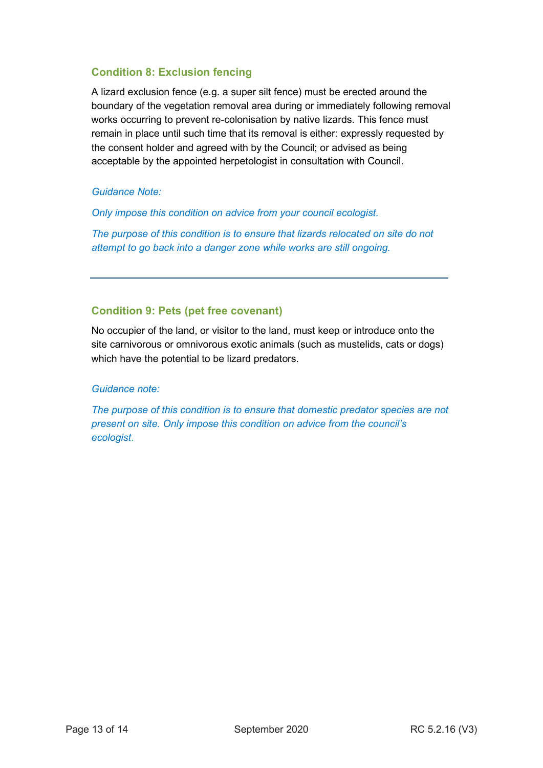## **Condition 8: Exclusion fencing**

A lizard exclusion fence (e.g. a super silt fence) must be erected around the boundary of the vegetation removal area during or immediately following removal works occurring to prevent re-colonisation by native lizards. This fence must remain in place until such time that its removal is either: expressly requested by the consent holder and agreed with by the Council; or advised as being acceptable by the appointed herpetologist in consultation with Council.

#### *Guidance Note:*

*Only impose this condition on advice from your council ecologist.* 

*The purpose of this condition is to ensure that lizards relocated on site do not attempt to go back into a danger zone while works are still ongoing.* 

#### **Condition 9: Pets (pet free covenant)**

No occupier of the land, or visitor to the land, must keep or introduce onto the site carnivorous or omnivorous exotic animals (such as mustelids, cats or dogs) which have the potential to be lizard predators.

#### *Guidance note:*

*The purpose of this condition is to ensure that domestic predator species are not present on site. Only impose this condition on advice from the council's ecologist*.